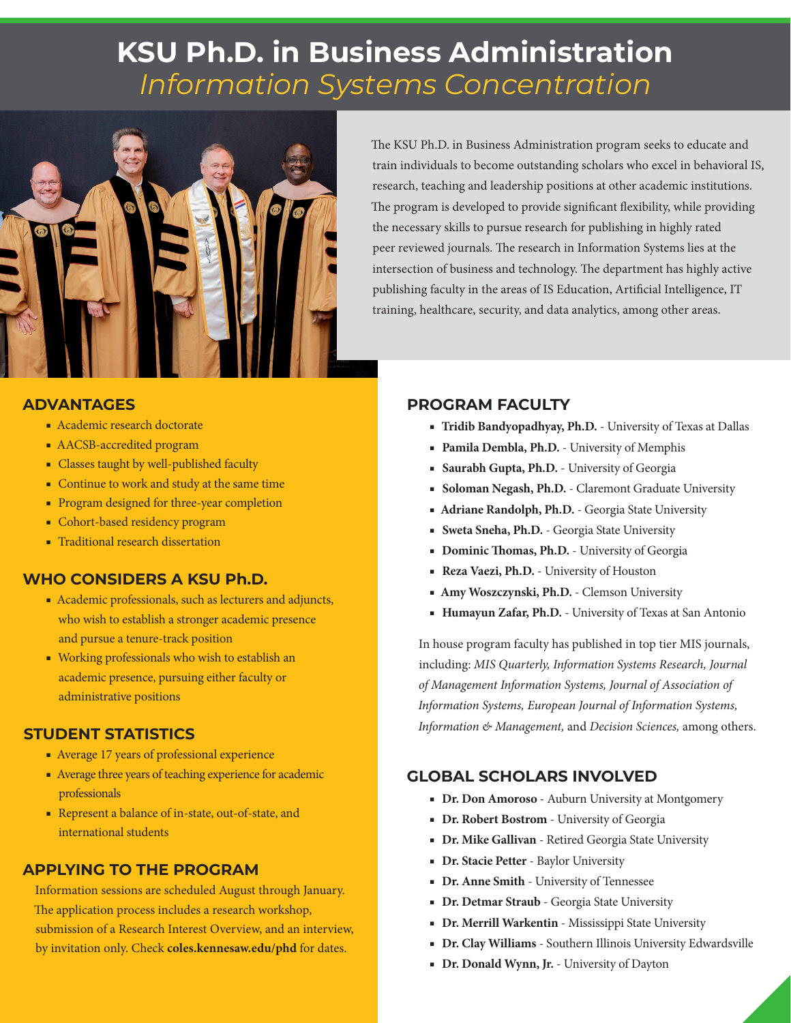# **KSU Ph.D. in Business Administration**  *Information Systems Concentration*



The KSU Ph.D. in Business Administration program seeks to educate and train individuals to become outstanding scholars who excel in behavioral IS, research, teaching and leadership positions at other academic institutions. The program is developed to provide significant flexibility, while providing the necessary skills to pursue research for publishing in highly rated peer reviewed journals. The research in Information Systems lies at the intersection of business and technology. The department has highly active publishing faculty in the areas of IS Education, Artificial Intelligence, IT training, healthcare, security, and data analytics, among other areas.

### **ADVANTAGES**

- Academic research doctorate
- AACSB-accredited program
- Classes taught by well-published faculty
- Continue to work and study at the same time
- Program designed for three-year completion
- Cohort-based residency program
- Traditional research dissertation

### **WHO CONSIDERS A KSU Ph.D.**

- Academic professionals, such as lecturers and adjuncts, who wish to establish a stronger academic presence and pursue a tenure-track position
- Working professionals who wish to establish an academic presence, pursuing either faculty or administrative positions

#### **STUDENT STATISTICS**

- Average 17 years of professional experience
- Average three years of teaching experience for academic professionals
- Represent a balance of in-state, out-of-state, and international students

# **APPLYING TO THE PROGRAM**

Information sessions are scheduled August through January. The application process includes a research workshop, submission of a Research Interest Overview, and an interview, by invitation only. Check **coles.kennesaw.edu/phd** for dates.

### **PROGRAM FACULTY**

- **Tridib Bandyopadhyay, Ph.D.** University of Texas at Dallas
- **Pamila Dembla, Ph.D.**  University of Memphis
- **Saurabh Gupta, Ph.D.** University of Georgia
- **Soloman Negash, Ph.D.**  Claremont Graduate University
- **Adriane Randolph, Ph.D.** Georgia State University
- **Sweta Sneha, Ph.D.**  Georgia State University
- **Dominic Thomas, Ph.D.**  University of Georgia
- **Reza Vaezi, Ph.D.**  University of Houston
- **Amy Woszczynski, Ph.D.**  Clemson University
- **Humayun Zafar, Ph.D.**  University of Texas at San Antonio

In house program faculty has published in top tier MIS journals, including: *MIS Quarterly, Information Systems Research, Journal of Management Information Systems, Journal of Association of Information Systems, European Journal of Information Systems, Information & Management,* and *Decision Sciences,* among others.

### **GLOBAL SCHOLARS INVOLVED**

- **Dr. Don Amoroso**  Auburn University at Montgomery
- **Dr. Robert Bostrom** University of Georgia
- **Dr. Mike Gallivan** Retired Georgia State University
- **Dr. Stacie Petter**  Baylor University
- **Dr. Anne Smith** University of Tennessee
- **Dr. Detmar Straub** Georgia State University
- **Dr. Merrill Warkentin** Mississippi State University
- **Dr. Clay Williams** Southern Illinois University Edwardsville
- **Dr. Donald Wynn, Jr.**  University of Dayton